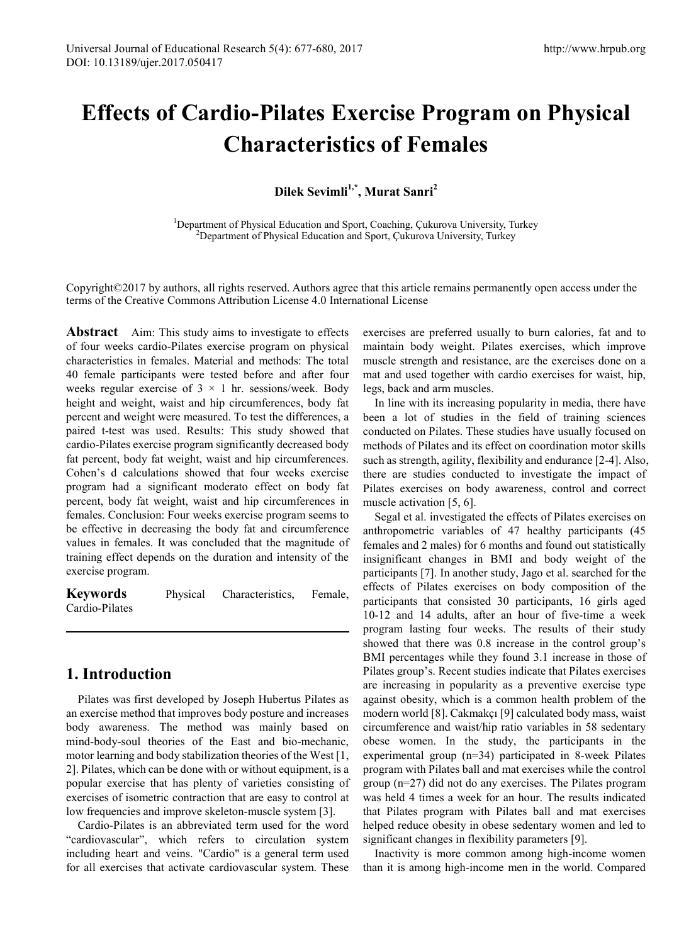# **Effects of Cardio-Pilates Exercise Program on Physical Characteristics of Females**

**Dilek Sevimli1,\*, Murat Sanri 2** 

<sup>1</sup>Department of Physical Education and Sport, Coaching, Çukurova University, Turkey<br><sup>2</sup>Department of Physical Education and Sport, Cukurova University, Turkey  $^{2}$ Department of Physical Education and Sport, Çukurova University, Turkey

Copyright©2017 by authors, all rights reserved. Authors agree that this article remains permanently open access under the terms of the Creative Commons Attribution License 4.0 International License

**Abstract** Aim: This study aims to investigate to effects of four weeks cardio-Pilates exercise program on physical characteristics in females. Material and methods: The total 40 female participants were tested before and after four weeks regular exercise of  $3 \times 1$  hr. sessions/week. Body height and weight, waist and hip circumferences, body fat percent and weight were measured. To test the differences, a paired t-test was used. Results: This study showed that cardio-Pilates exercise program significantly decreased body fat percent, body fat weight, waist and hip circumferences. Cohen's d calculations showed that four weeks exercise program had a significant moderato effect on body fat percent, body fat weight, waist and hip circumferences in females. Conclusion: Four weeks exercise program seems to be effective in decreasing the body fat and circumference values in females. It was concluded that the magnitude of training effect depends on the duration and intensity of the exercise program.

**Keywords** Physical Characteristics, Female, Cardio-Pilates

# **1. Introduction**

Pilates was first developed by Joseph Hubertus Pilates as an exercise method that improves body posture and increases body awareness. The method was mainly based on mind-body-soul theories of the East and bio-mechanic, motor learning and body stabilization theories of the West [1, 2]. Pilates, which can be done with or without equipment, is a popular exercise that has plenty of varieties consisting of exercises of isometric contraction that are easy to control at low frequencies and improve skeleton-muscle system [3].

Cardio-Pilates is an abbreviated term used for the word "cardiovascular", which refers to circulation system including heart and veins. "Cardio" is a general term used for all exercises that activate cardiovascular system. These exercises are preferred usually to burn calories, fat and to maintain body weight. Pilates exercises, which improve muscle strength and resistance, are the exercises done on a mat and used together with cardio exercises for waist, hip, legs, back and arm muscles.

In line with its increasing popularity in media, there have been a lot of studies in the field of training sciences conducted on Pilates. These studies have usually focused on methods of Pilates and its effect on coordination motor skills such as strength, agility, flexibility and endurance [2-4]. Also, there are studies conducted to investigate the impact of Pilates exercises on body awareness, control and correct muscle activation [5, 6].

Segal et al. investigated the effects of Pilates exercises on anthropometric variables of 47 healthy participants (45 females and 2 males) for 6 months and found out statistically insignificant changes in BMI and body weight of the participants [7]. In another study, Jago et al. searched for the effects of Pilates exercises on body composition of the participants that consisted 30 participants, 16 girls aged 10-12 and 14 adults, after an hour of five-time a week program lasting four weeks. The results of their study showed that there was 0.8 increase in the control group's BMI percentages while they found 3.1 increase in those of Pilates group's. Recent studies indicate that Pilates exercises are increasing in popularity as a preventive exercise type against obesity, which is a common health problem of the modern world [8]. Cakmakçı [9] calculated body mass, waist circumference and waist/hip ratio variables in 58 sedentary obese women. In the study, the participants in the experimental group (n=34) participated in 8-week Pilates program with Pilates ball and mat exercises while the control group (n=27) did not do any exercises. The Pilates program was held 4 times a week for an hour. The results indicated that Pilates program with Pilates ball and mat exercises helped reduce obesity in obese sedentary women and led to significant changes in flexibility parameters [9].

Inactivity is more common among high-income women than it is among high-income men in the world. Compared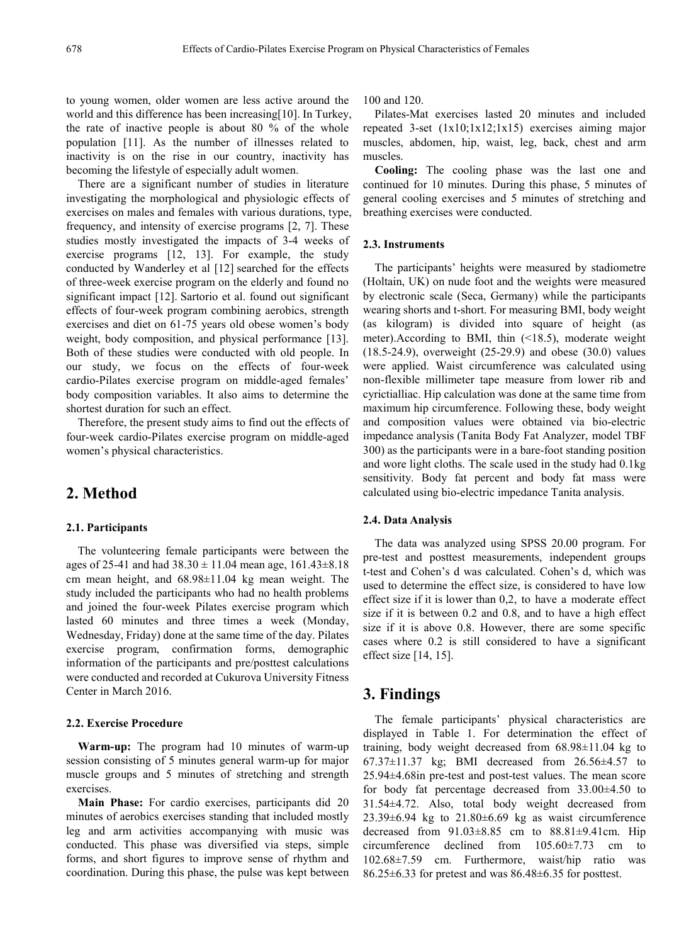to young women, older women are less active around the world and this difference has been increasing[10]. In Turkey, the rate of inactive people is about 80 % of the whole population [11]. As the number of illnesses related to inactivity is on the rise in our country, inactivity has becoming the lifestyle of especially adult women.

There are a significant number of studies in literature investigating the morphological and physiologic effects of exercises on males and females with various durations, type, frequency, and intensity of exercise programs [2, 7]. These studies mostly investigated the impacts of 3-4 weeks of exercise programs [12, 13]. For example, the study conducted by Wanderley et al [12] searched for the effects of three-week exercise program on the elderly and found no significant impact [12]. Sartorio et al. found out significant effects of four-week program combining aerobics, strength exercises and diet on 61-75 years old obese women's body weight, body composition, and physical performance [13]. Both of these studies were conducted with old people. In our study, we focus on the effects of four-week cardio-Pilates exercise program on middle-aged females' body composition variables. It also aims to determine the shortest duration for such an effect.

Therefore, the present study aims to find out the effects of four-week cardio-Pilates exercise program on middle-aged women's physical characteristics.

## **2. Method**

#### **2.1. Participants**

The volunteering female participants were between the ages of 25-41 and had  $38.30 \pm 11.04$  mean age,  $161.43 \pm 8.18$ cm mean height, and 68.98±11.04 kg mean weight. The study included the participants who had no health problems and joined the four-week Pilates exercise program which lasted 60 minutes and three times a week (Monday, Wednesday, Friday) done at the same time of the day. Pilates exercise program, confirmation forms, demographic information of the participants and pre/posttest calculations were conducted and recorded at Cukurova University Fitness Center in March 2016.

#### **2.2. Exercise Procedure**

**Warm-up:** The program had 10 minutes of warm-up session consisting of 5 minutes general warm-up for major muscle groups and 5 minutes of stretching and strength exercises.

**Main Phase:** For cardio exercises, participants did 20 minutes of aerobics exercises standing that included mostly leg and arm activities accompanying with music was conducted. This phase was diversified via steps, simple forms, and short figures to improve sense of rhythm and coordination. During this phase, the pulse was kept between 100 and 120.

Pilates-Mat exercises lasted 20 minutes and included repeated 3-set (1x10;1x12;1x15) exercises aiming major muscles, abdomen, hip, waist, leg, back, chest and arm muscles.

**Cooling:** The cooling phase was the last one and continued for 10 minutes. During this phase, 5 minutes of general cooling exercises and 5 minutes of stretching and breathing exercises were conducted.

#### **2.3. Instruments**

The participants' heights were measured by stadiometre (Holtain, UK) on nude foot and the weights were measured by electronic scale (Seca, Germany) while the participants wearing shorts and t-short. For measuring BMI, body weight (as kilogram) is divided into square of height (as meter).According to BMI, thin (<18.5), moderate weight (18.5-24.9), overweight (25-29.9) and obese (30.0) values were applied. Waist circumference was calculated using non-flexible millimeter tape measure from lower rib and cyrictialliac. Hip calculation was done at the same time from maximum hip circumference. Following these, body weight and composition values were obtained via bio-electric impedance analysis (Tanita Body Fat Analyzer, model TBF 300) as the participants were in a bare-foot standing position and wore light cloths. The scale used in the study had 0.1kg sensitivity. Body fat percent and body fat mass were calculated using bio-electric impedance Tanita analysis.

#### **2.4. Data Analysis**

The data was analyzed using SPSS 20.00 program. For pre-test and posttest measurements, independent groups t-test and Cohen's d was calculated. Cohen's d, which was used to determine the effect size, is considered to have low effect size if it is lower than 0,2, to have a moderate effect size if it is between 0.2 and 0.8, and to have a high effect size if it is above 0.8. However, there are some specific cases where 0.2 is still considered to have a significant effect size [14, 15].

## **3. Findings**

The female participants' physical characteristics are displayed in Table 1. For determination the effect of training, body weight decreased from 68.98±11.04 kg to 67.37±11.37 kg; BMI decreased from 26.56±4.57 to 25.94±4.68in pre-test and post-test values. The mean score for body fat percentage decreased from 33.00±4.50 to 31.54±4.72. Also, total body weight decreased from  $23.39\pm6.94$  kg to  $21.80\pm6.69$  kg as waist circumference decreased from  $91.03\pm8.85$  cm to  $88.81\pm9.41$ cm. Hip circumference declined from 105.60±7.73 cm to 102.68±7.59 cm. Furthermore, waist/hip ratio was 86.25±6.33 for pretest and was 86.48±6.35 for posttest.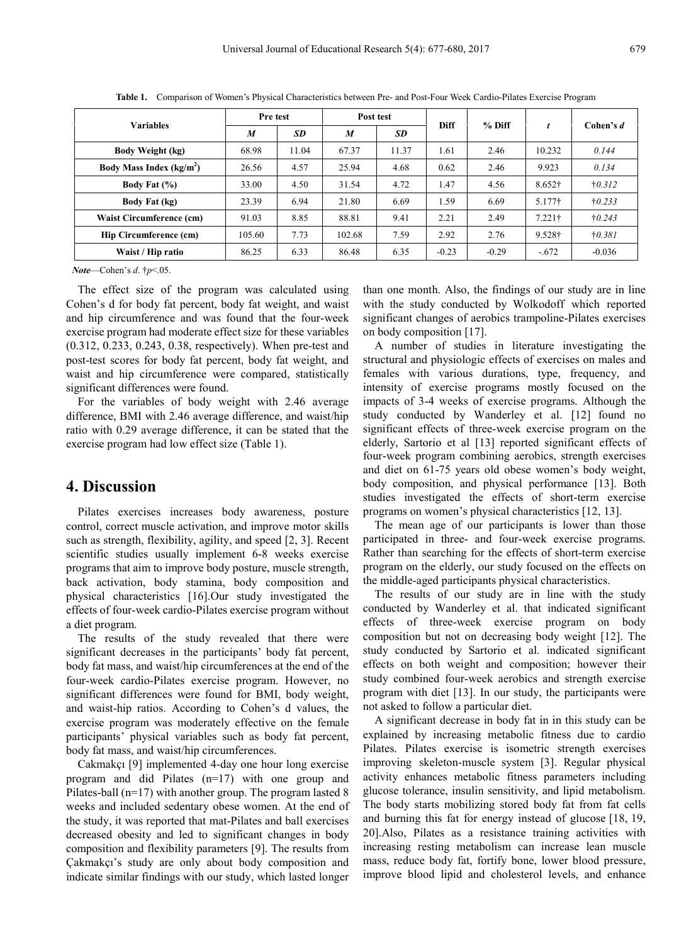| <b>Variables</b>              | Pre test |       | Post test        |       |             |          |                |                 |
|-------------------------------|----------|-------|------------------|-------|-------------|----------|----------------|-----------------|
|                               | M        | SD    | $\boldsymbol{M}$ | SD    | <b>Diff</b> | $%$ Diff |                | Cohen's d       |
| <b>Body Weight (kg)</b>       | 68.98    | 11.04 | 67.37            | 11.37 | 1.61        | 2.46     | 10.232         | 0.144           |
| Body Mass Index $(kg/m2)$     | 26.56    | 4.57  | 25.94            | 4.68  | 0.62        | 2.46     | 9.923          | 0.134           |
| Body Fat $(\% )$              | 33.00    | 4.50  | 31.54            | 4.72  | 1.47        | 4.56     | $8.652\dagger$ | $\dagger$ 0.312 |
| <b>Body Fat (kg)</b>          | 23.39    | 6.94  | 21.80            | 6.69  | 1.59        | 6.69     | 5.177†         | $\dagger$ 0.233 |
| Waist Circumference (cm)      | 91.03    | 8.85  | 88.81            | 9.41  | 2.21        | 2.49     | $7.221$ †      | $\dagger 0.243$ |
| <b>Hip Circumference (cm)</b> | 105.60   | 7.73  | 102.68           | 7.59  | 2.92        | 2.76     | 9.528†         | $\dagger 0.381$ |
| Waist / Hip ratio             | 86.25    | 6.33  | 86.48            | 6.35  | $-0.23$     | $-0.29$  | $-.672$        | $-0.036$        |

**Table 1.** Comparison of Women's Physical Characteristics between Pre- and Post-Four Week Cardio-Pilates Exercise Program

*Note*—Cohen's *d*. †*p*<.05.

The effect size of the program was calculated using Cohen's d for body fat percent, body fat weight, and waist and hip circumference and was found that the four-week exercise program had moderate effect size for these variables (0.312, 0.233, 0.243, 0.38, respectively). When pre-test and post-test scores for body fat percent, body fat weight, and waist and hip circumference were compared, statistically significant differences were found.

For the variables of body weight with 2.46 average difference, BMI with 2.46 average difference, and waist/hip ratio with 0.29 average difference, it can be stated that the exercise program had low effect size (Table 1).

## **4. Discussion**

Pilates exercises increases body awareness, posture control, correct muscle activation, and improve motor skills such as strength, flexibility, agility, and speed [2, 3]. Recent scientific studies usually implement 6-8 weeks exercise programs that aim to improve body posture, muscle strength, back activation, body stamina, body composition and physical characteristics [16].Our study investigated the effects of four-week cardio-Pilates exercise program without a diet program.

The results of the study revealed that there were significant decreases in the participants' body fat percent, body fat mass, and waist/hip circumferences at the end of the four-week cardio-Pilates exercise program. However, no significant differences were found for BMI, body weight, and waist-hip ratios. According to Cohen's d values, the exercise program was moderately effective on the female participants' physical variables such as body fat percent, body fat mass, and waist/hip circumferences.

Cakmakçı [9] implemented 4-day one hour long exercise program and did Pilates (n=17) with one group and Pilates-ball (n=17) with another group. The program lasted 8 weeks and included sedentary obese women. At the end of the study, it was reported that mat-Pilates and ball exercises decreased obesity and led to significant changes in body composition and flexibility parameters [9]. The results from Çakmakçı's study are only about body composition and indicate similar findings with our study, which lasted longer

than one month. Also, the findings of our study are in line with the study conducted by Wolkodoff which reported significant changes of aerobics trampoline-Pilates exercises on body composition [17].

A number of studies in literature investigating the structural and physiologic effects of exercises on males and females with various durations, type, frequency, and intensity of exercise programs mostly focused on the impacts of 3-4 weeks of exercise programs. Although the study conducted by Wanderley et al. [12] found no significant effects of three-week exercise program on the elderly, Sartorio et al [13] reported significant effects of four-week program combining aerobics, strength exercises and diet on 61-75 years old obese women's body weight, body composition, and physical performance [13]. Both studies investigated the effects of short-term exercise programs on women's physical characteristics [12, 13].

The mean age of our participants is lower than those participated in three- and four-week exercise programs. Rather than searching for the effects of short-term exercise program on the elderly, our study focused on the effects on the middle-aged participants physical characteristics.

The results of our study are in line with the study conducted by Wanderley et al. that indicated significant effects of three-week exercise program on body composition but not on decreasing body weight [12]. The study conducted by Sartorio et al. indicated significant effects on both weight and composition; however their study combined four-week aerobics and strength exercise program with diet [13]. In our study, the participants were not asked to follow a particular diet.

A significant decrease in body fat in in this study can be explained by increasing metabolic fitness due to cardio Pilates. Pilates exercise is isometric strength exercises improving skeleton-muscle system [3]. Regular physical activity enhances metabolic fitness parameters including glucose tolerance, insulin sensitivity, and lipid metabolism. The body starts mobilizing stored body fat from fat cells and burning this fat for energy instead of glucose [18, 19, 20].Also, Pilates as a resistance training activities with increasing resting metabolism can increase lean muscle mass, reduce body fat, fortify bone, lower blood pressure, improve blood lipid and cholesterol levels, and enhance